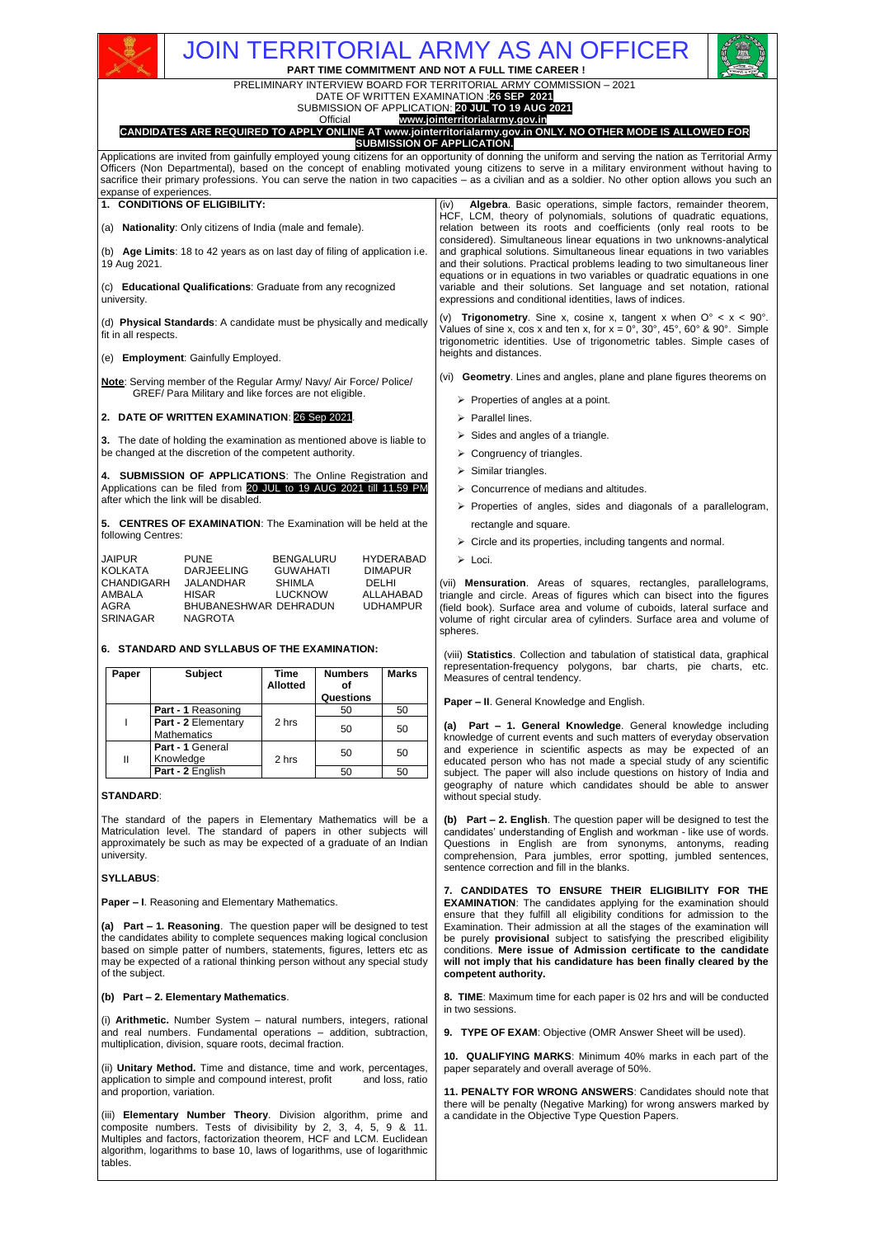# JOIN TERRITORIAL ARMY AS AN OFFICER

**PART TIME COMMITMENT AND NOT A FULL TIME CAREER !**

PRELIMINARY INTERVIEW BOARD FOR TERRITORIAL ARMY COMMISSION – 2021



## www.jointerritorialarmy.gov.in **CANDIDATES ARE REQUIRED TO APPLY ONLINE AT www.jointerritorialarmy.gov.in ONLY. NO OTHER MODE IS ALLOWED FOR**

**SUBMISSION OF APPLICATION.** Applications are invited from gainfully employed young citizens for an opportunity of donning the uniform and serving the nation as Territorial Army Officers (Non Departmental), based on the concept of enabling motivated young citizens to serve in a military environment without having to sacrifice their primary professions. You can serve the nation in two capacities - as a civilian and as a soldier. No other option allows you such an expanse of experiences.

| (v)<br>(d) Physical Standards: A candidate must be physically and medically<br>fit in all respects.<br>heights and distances.<br>(e) Employment: Gainfully Employed.<br>(vi) <b>Geometry.</b> Lines and angles, plane and plane figures theorems on<br><b>Note:</b> Serving member of the Regular Army/ Navy/ Air Force/ Police/<br>GREF/ Para Military and like forces are not eligible.<br>$\triangleright$ Properties of angles at a point.<br>2. DATE OF WRITTEN EXAMINATION: 26 Sep 2021.<br>$\triangleright$ Parallel lines.<br>$\triangleright$ Sides and angles of a triangle.<br>3. The date of holding the examination as mentioned above is liable to<br>be changed at the discretion of the competent authority.<br>$\triangleright$ Congruency of triangles.<br>$\triangleright$ Similar triangles.<br>4. SUBMISSION OF APPLICATIONS: The Online Registration and<br>Applications can be filed from 20 JUL to 19 AUG 2021 till 11.59 PM<br>$\triangleright$ Concurrence of medians and altitudes.<br>after which the link will be disabled.<br>5. CENTRES OF EXAMINATION: The Examination will be held at the<br>rectangle and square.<br>following Centres:<br>$\triangleright$ Circle and its properties, including tangents and normal.<br><b>JAIPUR</b><br><b>PUNE</b><br><b>BENGALURU</b><br><b>HYDERABAD</b><br>$\triangleright$ Loci.<br><b>KOLKATA</b><br><b>DARJEELING</b><br><b>GUWAHATI</b><br><b>DIMAPUR</b><br><b>CHANDIGARH</b><br>DELHI<br>JALANDHAR<br><b>SHIMLA</b><br>AMBALA<br><b>HISAR</b><br>LUCKNOW<br>ALLAHABAD<br>AGRA<br>BHUBANESHWAR DEHRADUN<br><b>UDHAMPUR</b><br><b>SRINAGAR</b><br><b>NAGROTA</b><br>spheres. | <b>1. CONDITIONS OF ELIGIBILITY:</b><br>(a) Nationality: Only citizens of India (male and female).<br>(b) Age Limits: 18 to 42 years as on last day of filing of application i.e.<br>19 Aug 2021.<br>(c) Educational Qualifications: Graduate from any recognized<br>university. |  |  |  | <b>Algebra.</b> Basic operations, simple factors, remainder theorem,<br>(iv)<br>HCF, LCM, theory of polynomials, solutions of quadratic equations,<br>relation between its roots and coefficients (only real roots to be<br>considered). Simultaneous linear equations in two unknowns-analytical<br>and graphical solutions. Simultaneous linear equations in two variables<br>and their solutions. Practical problems leading to two simultaneous liner<br>equations or in equations in two variables or quadratic equations in one<br>variable and their solutions. Set language and set notation, rational<br>expressions and conditional identities, laws of indices. |
|----------------------------------------------------------------------------------------------------------------------------------------------------------------------------------------------------------------------------------------------------------------------------------------------------------------------------------------------------------------------------------------------------------------------------------------------------------------------------------------------------------------------------------------------------------------------------------------------------------------------------------------------------------------------------------------------------------------------------------------------------------------------------------------------------------------------------------------------------------------------------------------------------------------------------------------------------------------------------------------------------------------------------------------------------------------------------------------------------------------------------------------------------------------------------------------------------------------------------------------------------------------------------------------------------------------------------------------------------------------------------------------------------------------------------------------------------------------------------------------------------------------------------------------------------------------------------------------------------------------------------------------------------------|----------------------------------------------------------------------------------------------------------------------------------------------------------------------------------------------------------------------------------------------------------------------------------|--|--|--|----------------------------------------------------------------------------------------------------------------------------------------------------------------------------------------------------------------------------------------------------------------------------------------------------------------------------------------------------------------------------------------------------------------------------------------------------------------------------------------------------------------------------------------------------------------------------------------------------------------------------------------------------------------------------|
|                                                                                                                                                                                                                                                                                                                                                                                                                                                                                                                                                                                                                                                                                                                                                                                                                                                                                                                                                                                                                                                                                                                                                                                                                                                                                                                                                                                                                                                                                                                                                                                                                                                          |                                                                                                                                                                                                                                                                                  |  |  |  | <b>Trigonometry.</b> Sine x, cosine x, tangent x when $O^{\circ} < x < 90^{\circ}$ .<br>Values of sine x, cos x and ten x, for $x = 0^\circ$ , 30°, 45°, 60° & 90°. Simple<br>trigonometric identities. Use of trigonometric tables. Simple cases of                                                                                                                                                                                                                                                                                                                                                                                                                       |
|                                                                                                                                                                                                                                                                                                                                                                                                                                                                                                                                                                                                                                                                                                                                                                                                                                                                                                                                                                                                                                                                                                                                                                                                                                                                                                                                                                                                                                                                                                                                                                                                                                                          |                                                                                                                                                                                                                                                                                  |  |  |  |                                                                                                                                                                                                                                                                                                                                                                                                                                                                                                                                                                                                                                                                            |
|                                                                                                                                                                                                                                                                                                                                                                                                                                                                                                                                                                                                                                                                                                                                                                                                                                                                                                                                                                                                                                                                                                                                                                                                                                                                                                                                                                                                                                                                                                                                                                                                                                                          |                                                                                                                                                                                                                                                                                  |  |  |  |                                                                                                                                                                                                                                                                                                                                                                                                                                                                                                                                                                                                                                                                            |
|                                                                                                                                                                                                                                                                                                                                                                                                                                                                                                                                                                                                                                                                                                                                                                                                                                                                                                                                                                                                                                                                                                                                                                                                                                                                                                                                                                                                                                                                                                                                                                                                                                                          |                                                                                                                                                                                                                                                                                  |  |  |  | $\triangleright$ Properties of angles, sides and diagonals of a parallelogram,                                                                                                                                                                                                                                                                                                                                                                                                                                                                                                                                                                                             |
|                                                                                                                                                                                                                                                                                                                                                                                                                                                                                                                                                                                                                                                                                                                                                                                                                                                                                                                                                                                                                                                                                                                                                                                                                                                                                                                                                                                                                                                                                                                                                                                                                                                          |                                                                                                                                                                                                                                                                                  |  |  |  |                                                                                                                                                                                                                                                                                                                                                                                                                                                                                                                                                                                                                                                                            |
|                                                                                                                                                                                                                                                                                                                                                                                                                                                                                                                                                                                                                                                                                                                                                                                                                                                                                                                                                                                                                                                                                                                                                                                                                                                                                                                                                                                                                                                                                                                                                                                                                                                          |                                                                                                                                                                                                                                                                                  |  |  |  | (vii) <b>Mensuration</b> . Areas of squares, rectangles, parallelograms,<br>triangle and circle. Areas of figures which can bisect into the figures<br>(field book). Surface area and volume of cuboids, lateral surface and<br>volume of right circular area of cylinders. Surface area and volume of                                                                                                                                                                                                                                                                                                                                                                     |

(viii) **Statistics**. Collection and tabulation of statistical data, graphical representation-frequency polygons, bar charts, pie charts, etc. Measures of central tendency.

**Paper – II**. General Knowledge and English.

**(a) Part – 1. General Knowledge**. General knowledge including knowledge of current events and such matters of everyday observation and experience in scientific aspects as may be expected of an educated person who has not made a special study of any scientific subject. The paper will also include questions on history of India and geography of nature which candidates should be able to answer without special study.

**(b) Part – 2. English**. The question paper will be designed to test the candidates' understanding of English and workman - like use of words. Questions in English are from synonyms, antonyms, reading comprehension, Para jumbles, error spotting, jumbled sentences, sentence correction and fill in the blanks.

**7. CANDIDATES TO ENSURE THEIR ELIGIBILITY FOR THE EXAMINATION**: The candidates applying for the examination should ensure that they fulfill all eligibility conditions for admission to the Examination. Their admission at all the stages of the examination will be purely **provisional** subject to satisfying the prescribed eligibility conditions. **Mere issue of Admission certificate to the candidate will not imply that his candidature has been finally cleared by the competent authority.** 

**8. TIME**: Maximum time for each paper is 02 hrs and will be conducted in two sessions.

**9. TYPE OF EXAM**: Objective (OMR Answer Sheet will be used).

**10. QUALIFYING MARKS**: Minimum 40% marks in each part of the paper separately and overall average of 50%.

**11. PENALTY FOR WRONG ANSWERS**: Candidates should note that there will be penalty (Negative Marking) for wrong answers marked by a candidate in the Objective Type Question Papers.

| JAIPUR     | <b>PUNE</b>           | <b>BENGALURU</b> | <b>HYDERABAD</b> |
|------------|-----------------------|------------------|------------------|
| KOLKATA    | DARJEELING            | <b>GUWAHATI</b>  | <b>DIMAPUR</b>   |
| CHANDIGARH | JALANDHAR             | SHIMLA           | DELHI            |
| AMBALA     | HISAR                 | <b>LUCKNOW</b>   | ALLAHABAD        |
| AGRA       | BHUBANESHWAR DEHRADUN |                  | <b>UDHAMPUR</b>  |
| SRINAGAR   | NAGROTA               |                  |                  |

## **6. STANDARD AND SYLLABUS OF THE EXAMINATION:**

| Paper | <b>Subject</b>                            | <b>Time</b><br><b>Allotted</b> | <b>Numbers</b><br>οf<br>Questions | <b>Marks</b> |
|-------|-------------------------------------------|--------------------------------|-----------------------------------|--------------|
|       | Part - 1 Reasoning                        |                                | 50                                | 50           |
|       | Part - 2 Elementary<br><b>Mathematics</b> | 2 hrs                          | 50                                | 50           |
| Ш     | Part - 1 General<br>Knowledge             | 2 hrs                          | 50                                | 50           |
|       | Part - 2 English                          |                                | 50                                | 50           |

## **STANDARD**:

The standard of the papers in Elementary Mathematics will be a Matriculation level. The standard of papers in other subjects will approximately be such as may be expected of a graduate of an Indian university.

## **SYLLABUS**:

**Paper – I**. Reasoning and Elementary Mathematics.

**(a) Part – 1. Reasoning**. The question paper will be designed to test the candidates ability to complete sequences making logical conclusion based on simple patter of numbers, statements, figures, letters etc as may be expected of a rational thinking person without any special study of the subject.

## **(b) Part – 2. Elementary Mathematics**.

(i) **Arithmetic.** Number System – natural numbers, integers, rational and real numbers. Fundamental operations – addition, subtraction, multiplication, division, square roots, decimal fraction.

(ii) **Unitary Method.** Time and distance, time and work, percentages, application to simple and compound interest, profit and loss, ratio and proportion, variation.

(iii) **Elementary Number Theory**. Division algorithm, prime and composite numbers. Tests of divisibility by 2, 3, 4, 5, 9 & 11. Multiples and factors, factorization theorem, HCF and LCM. Euclidean algorithm, logarithms to base 10, laws of logarithms, use of logarithmic tables.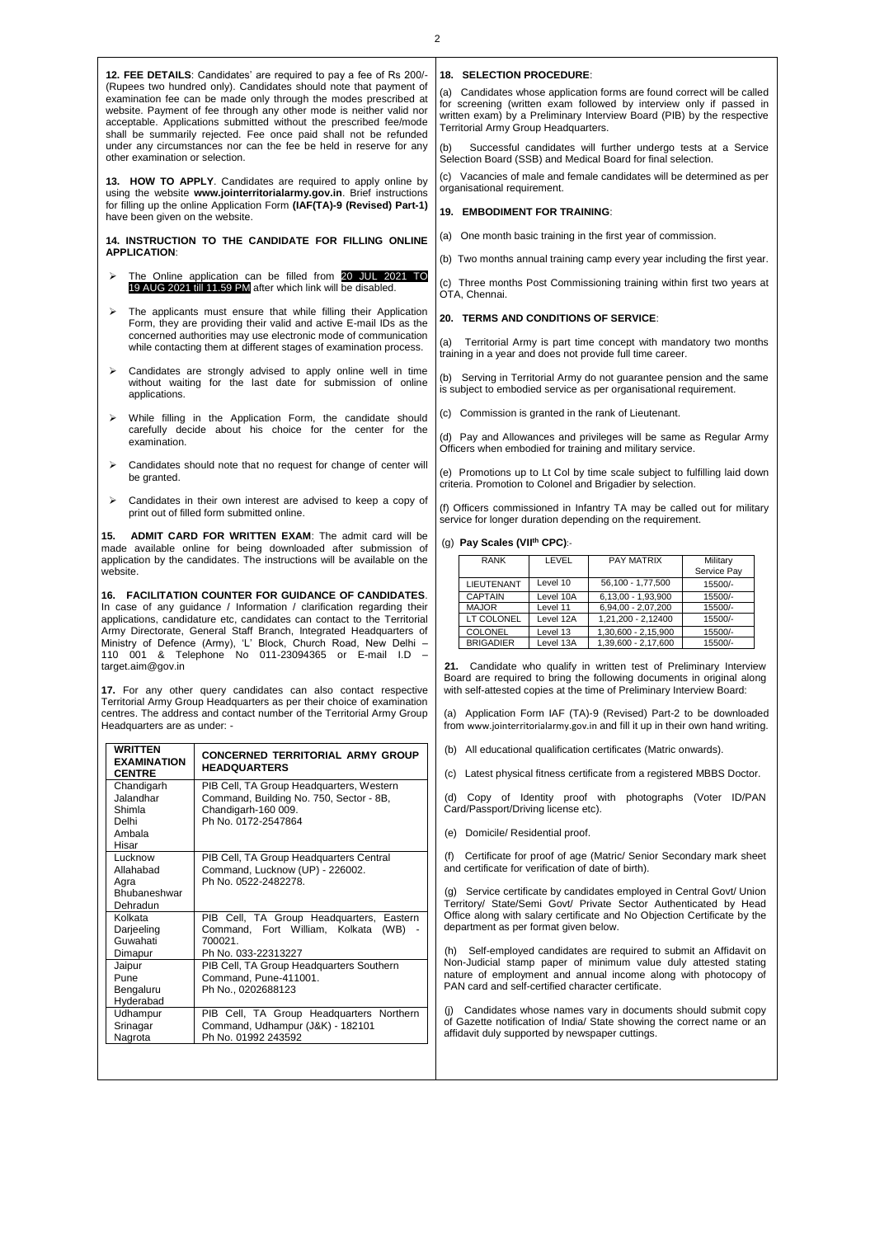**12. FEE DETAILS**: Candidates' are required to pay a fee of Rs 200/- (Rupees two hundred only). Candidates should note that payment of examination fee can be made only through the modes prescribed at website. Payment of fee through any other mode is neither valid nor acceptable. Applications submitted without the prescribed fee/mode shall be summarily rejected. Fee once paid shall not be refunded under any circumstances nor can the fee be held in reserve for any other examination or selection.

**13. HOW TO APPLY**. Candidates are required to apply online by using the website **www.jointerritorialarmy.gov.in**. Brief instructions for filling up the online Application Form **(IAF(TA)-9 (Revised) Part-1)** have been given on the website.

**14. INSTRUCTION TO THE CANDIDATE FOR FILLING ONLINE APPLICATION**:

- The Online application can be filled from 20 JUL 2021 TO 19 AUG 2021 till 11.59 PM after which link will be disabled.
- The applicants must ensure that while filling their Application Form, they are providing their valid and active E-mail IDs as the concerned authorities may use electronic mode of communication while contacting them at different stages of examination process.
- Candidates are strongly advised to apply online well in time without waiting for the last date for submission of online applications.
- While filling in the Application Form, the candidate should carefully decide about his choice for the center for the examination.
- Candidates should note that no request for change of center will be granted.
- Candidates in their own interest are advised to keep a copy of print out of filled form submitted online.

**15. ADMIT CARD FOR WRITTEN EXAM**: The admit card will be made available online for being downloaded after submission of application by the candidates. The instructions will be available on the website.

**16. FACILITATION COUNTER FOR GUIDANCE OF CANDIDATES**. In case of any guidance / Information / clarification regarding their applications, candidature etc, candidates can contact to the Territorial Army Directorate, General Staff Branch, Integrated Headquarters of Ministry of Defence (Army), 'L' Block, Church Road, New Delhi – 110 001 & Telephone No 011-23094365 or E-mail I.D – target.aim@gov.in

**17.** For any other query candidates can also contact respective Territorial Army Group Headquarters as per their choice of examination centres. The address and contact number of the Territorial Army Group Headquarters are as under: -

| <b>WRITTEN</b><br><b>EXAMINATION</b><br><b>CENTRE</b>         | <b>CONCERNED TERRITORIAL ARMY GROUP</b><br><b>HEADQUARTERS</b>                                                                    |
|---------------------------------------------------------------|-----------------------------------------------------------------------------------------------------------------------------------|
| Chandigarh<br>Jalandhar<br>Shimla<br>Delhi<br>Ambala<br>Hisar | PIB Cell, TA Group Headquarters, Western<br>Command, Building No. 750, Sector - 8B,<br>Chandigarh-160 009.<br>Ph No. 0172-2547864 |
| Lucknow<br>Allahabad<br>Agra<br>Bhubaneshwar<br>Dehradun      | PIB Cell, TA Group Headquarters Central<br>Command, Lucknow (UP) - 226002.<br>Ph No. 0522-2482278.                                |
| Kolkata<br>Darjeeling<br>Guwahati<br>Dimapur                  | PIB Cell, TA Group Headquarters, Eastern<br>Command, Fort William, Kolkata<br>(WB)<br>700021<br>Ph No. 033-22313227               |
| Jaipur<br>Pune<br>Bengaluru<br>Hyderabad                      | PIB Cell, TA Group Headquarters Southern<br>Command. Pune-411001.<br>Ph No., 0202688123                                           |
| Udhampur<br>Srinagar<br>Nagrota                               | PIB Cell, TA Group Headquarters Northern<br>Command, Udhampur (J&K) - 182101<br>Ph No. 01992 243592                               |

### **18. SELECTION PROCEDURE**:

(a) Candidates whose application forms are found correct will be called for screening (written exam followed by interview only if passed in written exam) by a Preliminary Interview Board (PIB) by the respective Territorial Army Group Headquarters.

Successful candidates will further undergo tests at a Service Selection Board (SSB) and Medical Board for final selection.

Vacancies of male and female candidates will be determined as per organisational requirement.

## **19. EMBODIMENT FOR TRAINING**:

(a) One month basic training in the first year of commission.

(b) Two months annual training camp every year including the first year.

(c) Three months Post Commissioning training within first two years at OTA, Chennai.

## **20. TERMS AND CONDITIONS OF SERVICE**:

(a) Territorial Army is part time concept with mandatory two months training in a year and does not provide full time career.

(b) Serving in Territorial Army do not guarantee pension and the same is subject to embodied service as per organisational requirement.

(c) Commission is granted in the rank of Lieutenant.

(d) Pay and Allowances and privileges will be same as Regular Army Officers when embodied for training and military service.

(e) Promotions up to Lt Col by time scale subject to fulfilling laid down criteria. Promotion to Colonel and Brigadier by selection.

(f) Officers commissioned in Infantry TA may be called out for military service for longer duration depending on the requirement.

#### (g) **Pay Scales (VII th CPC)**:-

| <b>RANK</b>       | LEVEL     | <b>PAY MATRIX</b>   | Military<br>Service Pay |
|-------------------|-----------|---------------------|-------------------------|
| <b>LIEUTENANT</b> | Level 10  | 56.100 - 1.77.500   | 15500/-                 |
| CAPTAIN           | Level 10A | 6.13.00 - 1.93.900  | 15500/-                 |
| <b>MAJOR</b>      | Level 11  | 6.94.00 - 2.07.200  | 15500/-                 |
| LT COLONEL        | Level 12A | 1,21,200 - 2,12400  | 15500/-                 |
| COLONEL           | Level 13  | 1,30,600 - 2,15,900 | 15500/-                 |
| <b>BRIGADIER</b>  | Level 13A | 1,39,600 - 2,17,600 | 15500/-                 |

**21.** Candidate who qualify in written test of Preliminary Interview Board are required to bring the following documents in original along with self-attested copies at the time of Preliminary Interview Board:

(a) Application Form IAF (TA)-9 (Revised) Part-2 to be downloaded from www.jointerritorialarmy.gov.in and fill it up in their own hand writing.

(b) All educational qualification certificates (Matric onwards).

(c) Latest physical fitness certificate from a registered MBBS Doctor.

(d) Copy of Identity proof with photographs (Voter ID/PAN Card/Passport/Driving license etc).

(e) Domicile/ Residential proof.

(f) Certificate for proof of age (Matric/ Senior Secondary mark sheet and certificate for verification of date of birth).

(g) Service certificate by candidates employed in Central Govt/ Union Territory/ State/Semi Govt/ Private Sector Authenticated by Head Office along with salary certificate and No Objection Certificate by the department as per format given below.

(h) Self-employed candidates are required to submit an Affidavit on Non-Judicial stamp paper of minimum value duly attested stating nature of employment and annual income along with photocopy of PAN card and self-certified character certificate.

(j) Candidates whose names vary in documents should submit copy of Gazette notification of India/ State showing the correct name or an affidavit duly supported by newspaper cuttings.